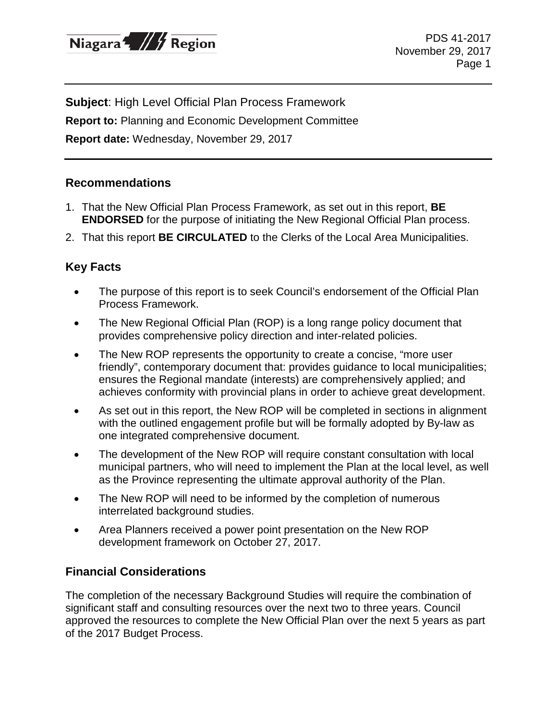

**Subject**: High Level Official Plan Process Framework **Report to:** Planning and Economic Development Committee **Report date:** Wednesday, November 29, 2017

## **Recommendations**

- 1. That the New Official Plan Process Framework, as set out in this report, **BE ENDORSED** for the purpose of initiating the New Regional Official Plan process.
- 2. That this report **BE CIRCULATED** to the Clerks of the Local Area Municipalities.

## **Key Facts**

- The purpose of this report is to seek Council's endorsement of the Official Plan Process Framework.
- The New Regional Official Plan (ROP) is a long range policy document that provides comprehensive policy direction and inter-related policies.
- The New ROP represents the opportunity to create a concise, "more user friendly", contemporary document that: provides guidance to local municipalities; ensures the Regional mandate (interests) are comprehensively applied; and achieves conformity with provincial plans in order to achieve great development.
- As set out in this report, the New ROP will be completed in sections in alignment with the outlined engagement profile but will be formally adopted by By-law as one integrated comprehensive document.
- The development of the New ROP will require constant consultation with local municipal partners, who will need to implement the Plan at the local level, as well as the Province representing the ultimate approval authority of the Plan.
- The New ROP will need to be informed by the completion of numerous interrelated background studies.
- Area Planners received a power point presentation on the New ROP development framework on October 27, 2017.

## **Financial Considerations**

The completion of the necessary Background Studies will require the combination of significant staff and consulting resources over the next two to three years. Council approved the resources to complete the New Official Plan over the next 5 years as part of the 2017 Budget Process.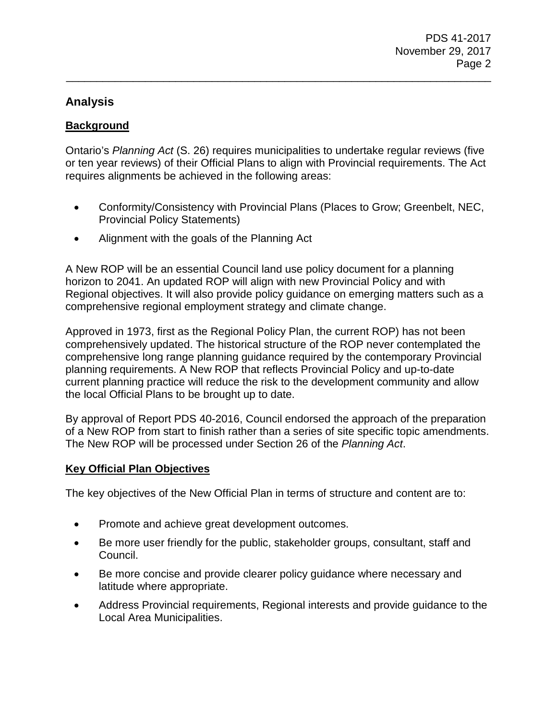# **Analysis**

# **Background**

Ontario's *Planning Act* (S. 26) requires municipalities to undertake regular reviews (five or ten year reviews) of their Official Plans to align with Provincial requirements. The Act requires alignments be achieved in the following areas:

\_\_\_\_\_\_\_\_\_\_\_\_\_\_\_\_\_\_\_\_\_\_\_\_\_\_\_\_\_\_\_\_\_\_\_\_\_\_\_\_\_\_\_\_\_\_\_\_\_\_\_\_\_\_\_\_\_\_\_\_\_\_\_\_\_\_\_\_\_\_

- Conformity/Consistency with Provincial Plans (Places to Grow; Greenbelt, NEC, Provincial Policy Statements)
- Alignment with the goals of the Planning Act

A New ROP will be an essential Council land use policy document for a planning horizon to 2041. An updated ROP will align with new Provincial Policy and with Regional objectives. It will also provide policy guidance on emerging matters such as a comprehensive regional employment strategy and climate change.

Approved in 1973, first as the Regional Policy Plan, the current ROP) has not been comprehensively updated. The historical structure of the ROP never contemplated the comprehensive long range planning guidance required by the contemporary Provincial planning requirements. A New ROP that reflects Provincial Policy and up-to-date current planning practice will reduce the risk to the development community and allow the local Official Plans to be brought up to date.

By approval of Report PDS 40-2016, Council endorsed the approach of the preparation of a New ROP from start to finish rather than a series of site specific topic amendments. The New ROP will be processed under Section 26 of the *Planning Act*.

## **Key Official Plan Objectives**

The key objectives of the New Official Plan in terms of structure and content are to:

- Promote and achieve great development outcomes.
- Be more user friendly for the public, stakeholder groups, consultant, staff and Council.
- Be more concise and provide clearer policy guidance where necessary and latitude where appropriate.
- Address Provincial requirements, Regional interests and provide guidance to the Local Area Municipalities.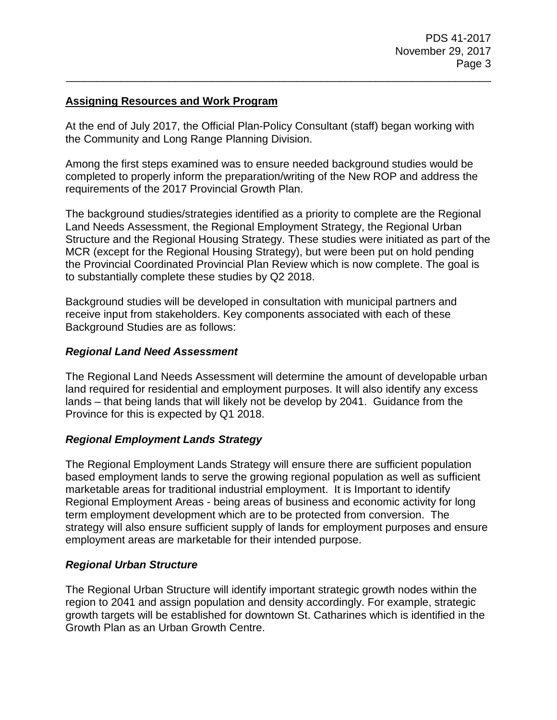## **Assigning Resources and Work Program**

At the end of July 2017, the Official Plan-Policy Consultant (staff) began working with the Community and Long Range Planning Division.

\_\_\_\_\_\_\_\_\_\_\_\_\_\_\_\_\_\_\_\_\_\_\_\_\_\_\_\_\_\_\_\_\_\_\_\_\_\_\_\_\_\_\_\_\_\_\_\_\_\_\_\_\_\_\_\_\_\_\_\_\_\_\_\_\_\_\_\_\_\_

Among the first steps examined was to ensure needed background studies would be completed to properly inform the preparation/writing of the New ROP and address the requirements of the 2017 Provincial Growth Plan.

The background studies/strategies identified as a priority to complete are the Regional Land Needs Assessment, the Regional Employment Strategy, the Regional Urban Structure and the Regional Housing Strategy. These studies were initiated as part of the MCR (except for the Regional Housing Strategy), but were been put on hold pending the Provincial Coordinated Provincial Plan Review which is now complete. The goal is to substantially complete these studies by Q2 2018.

Background studies will be developed in consultation with municipal partners and receive input from stakeholders. Key components associated with each of these Background Studies are as follows:

## *Regional Land Need Assessment*

The Regional Land Needs Assessment will determine the amount of developable urban land required for residential and employment purposes. It will also identify any excess lands – that being lands that will likely not be develop by 2041. Guidance from the Province for this is expected by Q1 2018.

## *Regional Employment Lands Strategy*

The Regional Employment Lands Strategy will ensure there are sufficient population based employment lands to serve the growing regional population as well as sufficient marketable areas for traditional industrial employment. It is Important to identify Regional Employment Areas - being areas of business and economic activity for long term employment development which are to be protected from conversion. The strategy will also ensure sufficient supply of lands for employment purposes and ensure employment areas are marketable for their intended purpose.

## *Regional Urban Structure*

The Regional Urban Structure will identify important strategic growth nodes within the region to 2041 and assign population and density accordingly. For example, strategic growth targets will be established for downtown St. Catharines which is identified in the Growth Plan as an Urban Growth Centre.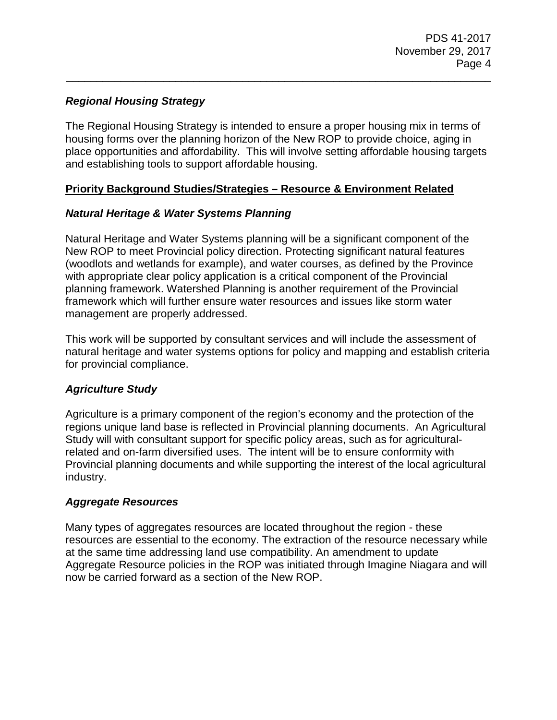# *Regional Housing Strategy*

The Regional Housing Strategy is intended to ensure a proper housing mix in terms of housing forms over the planning horizon of the New ROP to provide choice, aging in place opportunities and affordability. This will involve setting affordable housing targets and establishing tools to support affordable housing.

\_\_\_\_\_\_\_\_\_\_\_\_\_\_\_\_\_\_\_\_\_\_\_\_\_\_\_\_\_\_\_\_\_\_\_\_\_\_\_\_\_\_\_\_\_\_\_\_\_\_\_\_\_\_\_\_\_\_\_\_\_\_\_\_\_\_\_\_\_\_

## **Priority Background Studies/Strategies – Resource & Environment Related**

# *Natural Heritage & Water Systems Planning*

Natural Heritage and Water Systems planning will be a significant component of the New ROP to meet Provincial policy direction. Protecting significant natural features (woodlots and wetlands for example), and water courses, as defined by the Province with appropriate clear policy application is a critical component of the Provincial planning framework. Watershed Planning is another requirement of the Provincial framework which will further ensure water resources and issues like storm water management are properly addressed.

This work will be supported by consultant services and will include the assessment of natural heritage and water systems options for policy and mapping and establish criteria for provincial compliance.

# *Agriculture Study*

Agriculture is a primary component of the region's economy and the protection of the regions unique land base is reflected in Provincial planning documents. An Agricultural Study will with consultant support for specific policy areas, such as for agriculturalrelated and on-farm diversified uses. The intent will be to ensure conformity with Provincial planning documents and while supporting the interest of the local agricultural industry.

## *Aggregate Resources*

Many types of aggregates resources are located throughout the region - these resources are essential to the economy. The extraction of the resource necessary while at the same time addressing land use compatibility. An amendment to update Aggregate Resource policies in the ROP was initiated through Imagine Niagara and will now be carried forward as a section of the New ROP.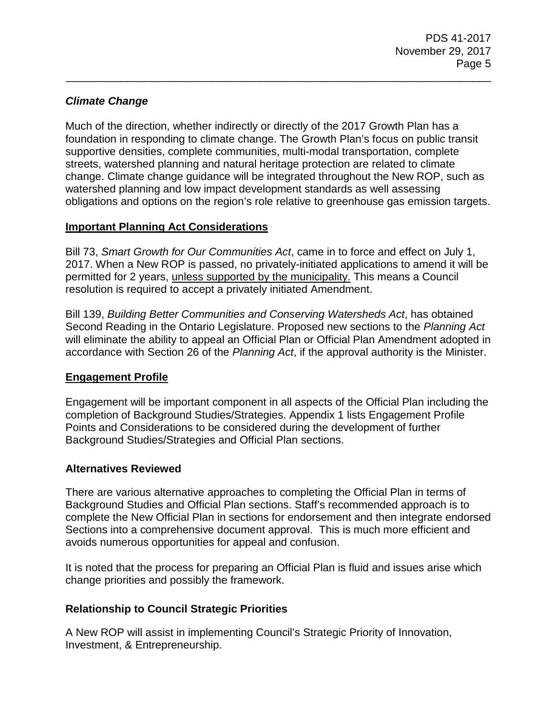# *Climate Change*

Much of the direction, whether indirectly or directly of the 2017 Growth Plan has a foundation in responding to climate change. The Growth Plan's focus on public transit supportive densities, complete communities, multi-modal transportation, complete streets, watershed planning and natural heritage protection are related to climate change. Climate change guidance will be integrated throughout the New ROP, such as watershed planning and low impact development standards as well assessing obligations and options on the region's role relative to greenhouse gas emission targets.

\_\_\_\_\_\_\_\_\_\_\_\_\_\_\_\_\_\_\_\_\_\_\_\_\_\_\_\_\_\_\_\_\_\_\_\_\_\_\_\_\_\_\_\_\_\_\_\_\_\_\_\_\_\_\_\_\_\_\_\_\_\_\_\_\_\_\_\_\_\_

## **Important Planning Act Considerations**

Bill 73, *Smart Growth for Our Communities Act*, came in to force and effect on July 1, 2017. When a New ROP is passed, no privately-initiated applications to amend it will be permitted for 2 years, unless supported by the municipality. This means a Council resolution is required to accept a privately initiated Amendment.

Bill 139, *Building Better Communities and Conserving Watersheds Act*, has obtained Second Reading in the Ontario Legislature. Proposed new sections to the *Planning Act* will eliminate the ability to appeal an Official Plan or Official Plan Amendment adopted in accordance with Section 26 of the *Planning Act*, if the approval authority is the Minister.

## **Engagement Profile**

Engagement will be important component in all aspects of the Official Plan including the completion of Background Studies/Strategies. Appendix 1 lists Engagement Profile Points and Considerations to be considered during the development of further Background Studies/Strategies and Official Plan sections.

## **Alternatives Reviewed**

There are various alternative approaches to completing the Official Plan in terms of Background Studies and Official Plan sections. Staff's recommended approach is to complete the New Official Plan in sections for endorsement and then integrate endorsed Sections into a comprehensive document approval. This is much more efficient and avoids numerous opportunities for appeal and confusion.

It is noted that the process for preparing an Official Plan is fluid and issues arise which change priorities and possibly the framework.

## **Relationship to Council Strategic Priorities**

A New ROP will assist in implementing Council's Strategic Priority of Innovation, Investment, & Entrepreneurship.